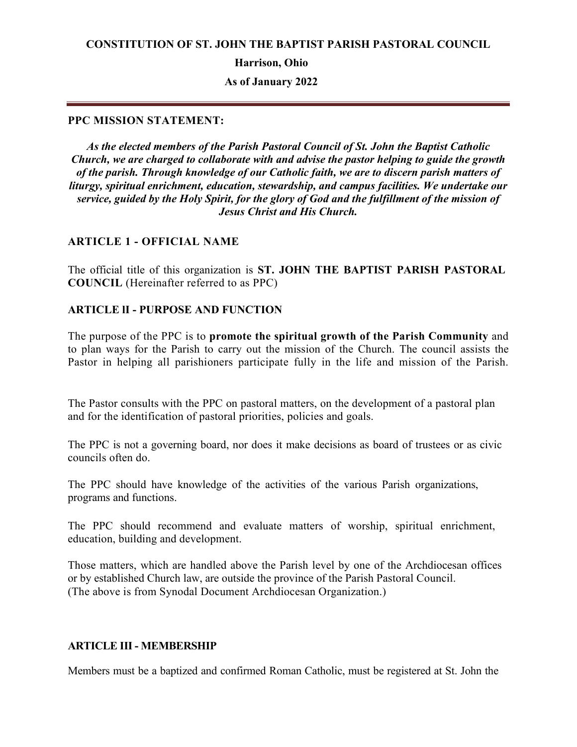**Harrison, Ohio**

**As of January 2022**

### **PPC MISSION STATEMENT:**

*As the elected members of the Parish Pastoral Council of St. John the Baptist Catholic Church, we are charged to collaborate with and advise the pastor helping to guide the growth of the parish. Through knowledge of our Catholic faith, we are to discern parish matters of liturgy, spiritual enrichment, education, stewardship, and campus facilities. We undertake our service, guided by the Holy Spirit, for the glory of God and the fulfillment of the mission of Jesus Christ and His Church.*

### **ARTICLE 1 - OFFICIAL NAME**

The official title of this organization is **ST. JOHN THE BAPTIST PARISH PASTORAL COUNCIL** (Hereinafter referred to as PPC)

#### **ARTICLE lI - PURPOSE AND FUNCTION**

The purpose of the PPC is to **promote the spiritual growth of the Parish Community** and to plan ways for the Parish to carry out the mission of the Church. The council assists the Pastor in helping all parishioners participate fully in the life and mission of the Parish.

The Pastor consults with the PPC on pastoral matters, on the development of a pastoral plan and for the identification of pastoral priorities, policies and goals.

The PPC is not a governing board, nor does it make decisions as board of trustees or as civic councils often do.

The PPC should have knowledge of the activities of the various Parish organizations, programs and functions.

The PPC should recommend and evaluate matters of worship, spiritual enrichment, education, building and development.

Those matters, which are handled above the Parish level by one of the Archdiocesan offices or by established Church law, are outside the province of the Parish Pastoral Council. (The above is from Synodal Document Archdiocesan Organization.)

## **ARTICLE III - MEMBERSHIP**

Members must be a baptized and confirmed Roman Catholic, must be registered at St. John the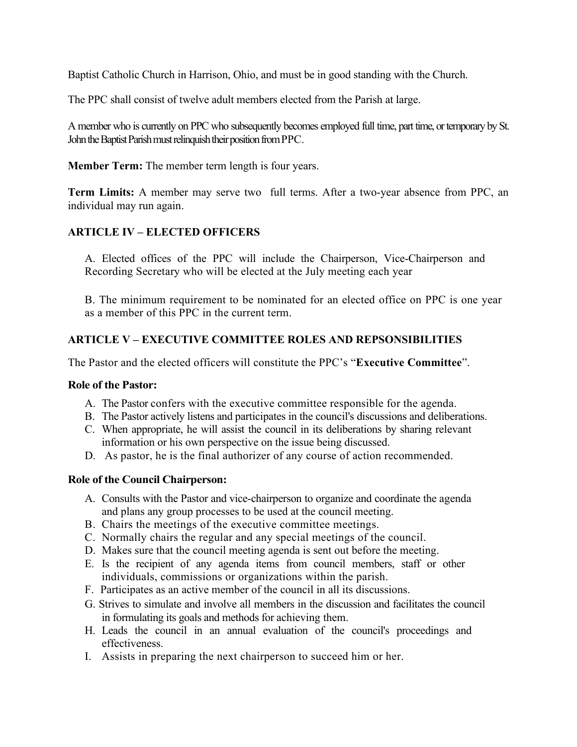Baptist Catholic Church in Harrison, Ohio, and must be in good standing with the Church.

The PPC shall consist of twelve adult members elected from the Parish at large.

A member who is currently on PPC who subsequently becomes employed full time, part time, or temporary by St. John the Baptist Parish must relinquish their position from PPC.

**Member Term:** The member term length is four years.

**Term Limits:** A member may serve two full terms. After a two-year absence from PPC, an individual may run again.

## **ARTICLE IV – ELECTED OFFICERS**

A. Elected offices of the PPC will include the Chairperson, Vice-Chairperson and Recording Secretary who will be elected at the July meeting each year

B. The minimum requirement to be nominated for an elected office on PPC is one year as a member of this PPC in the current term.

# **ARTICLE V – EXECUTIVE COMMITTEE ROLES AND REPSONSIBILITIES**

The Pastor and the elected officers will constitute the PPC's "**Executive Committee**".

#### **Role of the Pastor:**

- A. The Pastor confers with the executive committee responsible for the agenda.
- B. The Pastor actively listens and participates in the council's discussions and deliberations.
- C. When appropriate, he will assist the council in its deliberations by sharing relevant information or his own perspective on the issue being discussed.
- D. As pastor, he is the final authorizer of any course of action recommended.

## **Role of the Council Chairperson:**

- A. Consults with the Pastor and vice-chairperson to organize and coordinate the agenda and plans any group processes to be used at the council meeting.
- B. Chairs the meetings of the executive committee meetings.
- C. Normally chairs the regular and any special meetings of the council.
- D. Makes sure that the council meeting agenda is sent out before the meeting.
- E. Is the recipient of any agenda items from council members, staff or other individuals, commissions or organizations within the parish.
- F. Participates as an active member of the council in all its discussions.
- G. Strives to simulate and involve all members in the discussion and facilitates the council in formulating its goals and methods for achieving them.
- H. Leads the council in an annual evaluation of the council's proceedings and effectiveness.
- I. Assists in preparing the next chairperson to succeed him or her.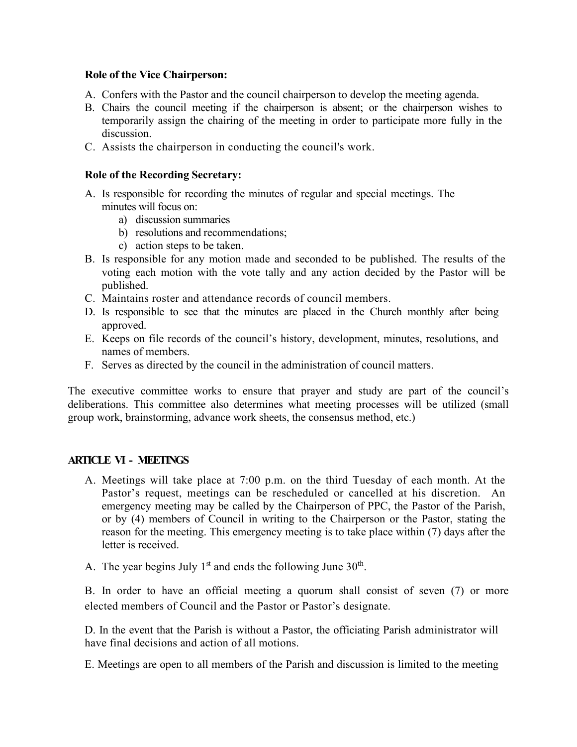### **Role of the Vice Chairperson:**

- A. Confers with the Pastor and the council chairperson to develop the meeting agenda.
- B. Chairs the council meeting if the chairperson is absent; or the chairperson wishes to temporarily assign the chairing of the meeting in order to participate more fully in the discussion.
- C. Assists the chairperson in conducting the council's work.

### **Role of the Recording Secretary:**

- A. Is responsible for recording the minutes of regular and special meetings. The minutes will focus on:
	- a) discussion summaries
	- b) resolutions and recommendations;
	- c) action steps to be taken.
- B. Is responsible for any motion made and seconded to be published. The results of the voting each motion with the vote tally and any action decided by the Pastor will be published.
- C. Maintains roster and attendance records of council members.
- D. Is responsible to see that the minutes are placed in the Church monthly after being approved.
- E. Keeps on file records of the council's history, development, minutes, resolutions, and names of members.
- F. Serves as directed by the council in the administration of council matters.

The executive committee works to ensure that prayer and study are part of the council's deliberations. This committee also determines what meeting processes will be utilized (small group work, brainstorming, advance work sheets, the consensus method, etc.)

#### **ARTICLE VI - MEETINGS**

- A. Meetings will take place at 7:00 p.m. on the third Tuesday of each month. At the Pastor's request, meetings can be rescheduled or cancelled at his discretion. An emergency meeting may be called by the Chairperson of PPC, the Pastor of the Parish, or by (4) members of Council in writing to the Chairperson or the Pastor, stating the reason for the meeting. This emergency meeting is to take place within (7) days after the letter is received.
- A. The year begins July  $1<sup>st</sup>$  and ends the following June  $30<sup>th</sup>$ .

B. In order to have an official meeting a quorum shall consist of seven (7) or more elected members of Council and the Pastor or Pastor's designate.

D. In the event that the Parish is without a Pastor, the officiating Parish administrator will have final decisions and action of all motions.

E. Meetings are open to all members of the Parish and discussion is limited to the meeting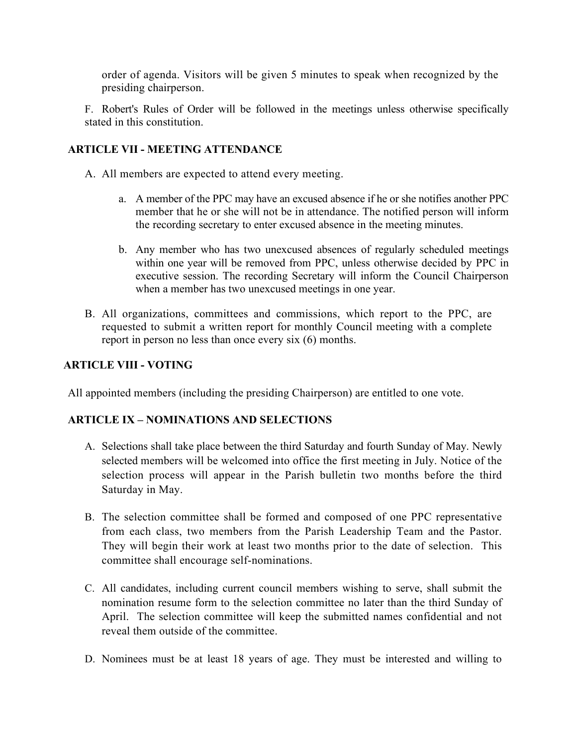order of agenda. Visitors will be given 5 minutes to speak when recognized by the presiding chairperson.

F. Robert's Rules of Order will be followed in the meetings unless otherwise specifically stated in this constitution.

# **ARTICLE VII - MEETING ATTENDANCE**

- A. All members are expected to attend every meeting.
	- a. A member of the PPC may have an excused absence if he or she notifies another PPC member that he or she will not be in attendance. The notified person will inform the recording secretary to enter excused absence in the meeting minutes.
	- b. Any member who has two unexcused absences of regularly scheduled meetings within one year will be removed from PPC, unless otherwise decided by PPC in executive session. The recording Secretary will inform the Council Chairperson when a member has two unexcused meetings in one year.
- B. All organizations, committees and commissions, which report to the PPC, are requested to submit a written report for monthly Council meeting with a complete report in person no less than once every six (6) months.

## **ARTICLE VIII - VOTING**

All appointed members (including the presiding Chairperson) are entitled to one vote.

# **ARTICLE IX – NOMINATIONS AND SELECTIONS**

- A. Selections shall take place between the third Saturday and fourth Sunday of May. Newly selected members will be welcomed into office the first meeting in July. Notice of the selection process will appear in the Parish bulletin two months before the third Saturday in May.
- B. The selection committee shall be formed and composed of one PPC representative from each class, two members from the Parish Leadership Team and the Pastor. They will begin their work at least two months prior to the date of selection. This committee shall encourage self-nominations.
- C. All candidates, including current council members wishing to serve, shall submit the nomination resume form to the selection committee no later than the third Sunday of April. The selection committee will keep the submitted names confidential and not reveal them outside of the committee.
- D. Nominees must be at least 18 years of age. They must be interested and willing to